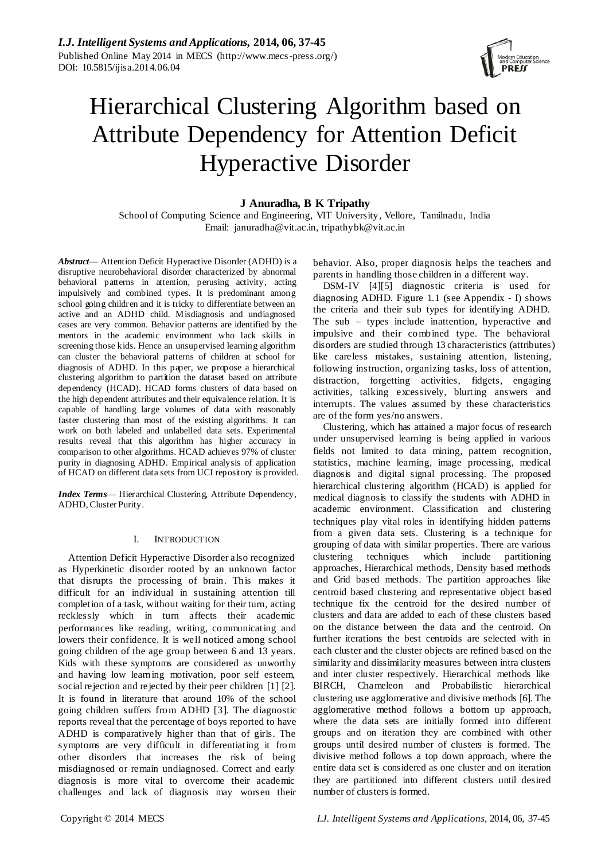

# Hierarchical Clustering Algorithm based on Attribute Dependency for Attention Deficit Hyperactive Disorder

# **J Anuradha, B K Tripathy**

School of Computing Science and Engineering, VIT University, Vellore, Tamilnadu, India Email: januradha@vit.ac.in, tripathybk@vit.ac.in

*Abstract*— Attention Deficit Hyperactive Disorder (ADHD) is a disruptive neurobehavioral disorder characterized by abnormal behavioral patterns in attention, perusing activity, acting impulsively and combined types. It is predominant among school going children and it is tricky to differentiate between an active and an ADHD child. Misdiagnosis and undiagnosed cases are very common. Behavior patterns are identified by the mentors in the academic environment who lack skills in screening those kids. Hence an unsupervised learning algorithm can cluster the behavioral patterns of children at school for diagnosis of ADHD. In this paper, we propose a hierarchical clustering algorithm to partition the dataset based on attribute dependency (HCAD). HCAD forms clusters of data based on the high dependent attributes and their equivalence relation. It is capable of handling large volumes of data with reasonably faster clustering than most of the existing algorithms. It can work on both labeled and unlabelled data sets. Experimental results reveal that this algorithm has higher accuracy in comparison to other algorithms. HCAD achieves 97% of cluster purity in diagnosing ADHD. Empirical analysis of application of HCAD on different data sets from UCI repository is provided.

*Index Terms*— Hierarchical Clustering, Attribute Dependency, ADHD, Cluster Purity.

## I. INTRODUCTION

Attention Deficit Hyperactive Disorder also recognized as Hyperkinetic disorder rooted by an unknown factor that disrupts the processing of brain. This makes it difficult for an individual in sustaining attention till completion of a task, without waiting for their turn, acting recklessly which in turn affects their academic performances like reading, writing, communicating and lowers their confidence. It is well noticed among school going children of the age group between 6 and 13 years. Kids with these symptoms are considered as unworthy and having low learning motivation, poor self esteem, social rejection and rejected by their peer children [1] [2]. It is found in literature that around 10% of the school going children suffers from ADHD [3]. The diagnostic reports reveal that the percentage of boys reported to have ADHD is comparatively higher than that of girls. The symptoms are very difficult in differentiating it from other disorders that increases the risk of being misdiagnosed or remain undiagnosed. Correct and early diagnosis is more vital to overcome their academic challenges and lack of diagnosis may worsen their

behavior. Also, proper diagnosis helps the teachers and parents in handling those children in a different way.

DSM-IV [4][5] diagnostic criteria is used for diagnosing ADHD. Figure 1.1 (see Appendix - I) shows the criteria and their sub types for identifying ADHD. The sub – types include inattention, hyperactive and impulsive and their combined type. The behavioral disorders are studied through 13 characteristics (attributes) like careless mistakes, sustaining attention, listening, following instruction, organizing tasks, loss of attention, distraction, forgetting activities, fidgets, engaging activities, talking excessively, blurting answers and interrupts. The values assumed by these characteristics are of the form yes/no answers.

Clustering, which has attained a major focus of res earch under unsupervised learning is being applied in various fields not limited to data mining, pattem recognition, statistics, machine learning, image processing, medical diagnosis and digital signal processing. The proposed hierarchical clustering algorithm (HCAD) is applied for medical diagnosis to classify the students with ADHD in academic environment. Classification and clustering techniques play vital roles in identifying hidden patterns from a given data sets. Clustering is a technique for grouping of data with similar properties. There are various clustering techniques which include partitioning approaches, Hierarchical methods, Density based methods and Grid based methods. The partition approaches like centroid based clustering and representative object based technique fix the centroid for the desired number of clusters and data are added to each of these clusters based on the distance between the data and the centroid. On further iterations the best centroids are selected with in each cluster and the cluster objects are refined based on the similarity and dissimilarity measures between intra clusters and inter cluster respectively. Hierarchical methods like BIRCH, Chameleon and Probabilistic hierarchical clustering use agglomerative and divisive methods [6]. The agglomerative method follows a bottom up approach, where the data sets are initially formed into different groups and on iteration they are combined with other groups until desired number of clusters is formed. The divisive method follows a top down approach, where the entire data set is considered as one cluster and on iteration they are partitioned into different clusters until desired number of clusters is formed.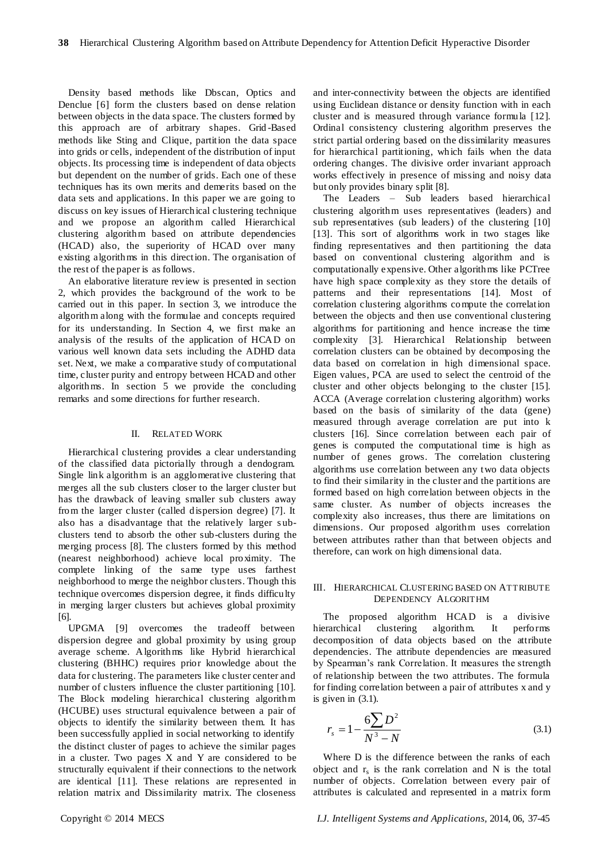Density based methods like Dbscan, Optics and Denclue [6] form the clusters based on dense relation between objects in the data space. The clusters formed by this approach are of arbitrary shapes. Grid -Based methods like Sting and Clique, partition the data space into grids or cells, independent of the distribution of input objects. Its processing time is independent of data objects but dependent on the number of grids. Each one of these techniques has its own merits and demerits based on the data sets and applications. In this paper we are going to discuss on key issues of Hierarchical clustering technique and we propose an algorithm called Hierarchical clustering algorithm based on attribute dependencies (HCAD) also, the superiority of HCAD over many existing algorithms in this direction. The organisation of the rest of the paper is as follows.

An elaborative literature review is presented in section 2, which provides the background of the work to be carried out in this paper. In section 3, we introduce the algorithm along with the formulae and concepts required for its understanding. In Section 4, we first make an analysis of the results of the application of HCAD on various well known data sets including the ADHD data set. Next, we make a comparative study of computational time, cluster purity and entropy between HCAD and other algorithms. In section 5 we provide the concluding remarks and some directions for further research.

#### II. RELATED WORK

Hierarchical clustering provides a clear understanding of the classified data pictorially through a dendogram. Single link algorithm is an agglomerative clustering that merges all the sub clusters closer to the larger cluster but has the drawback of leaving smaller sub clusters away from the larger cluster (called dispersion degree) [7]. It also has a disadvantage that the relatively larger subclusters tend to absorb the other sub-clusters during the merging process [8]. The clusters formed by this method (nearest neighborhood) achieve local proximity. The complete linking of the same type uses farthest neighborhood to merge the neighbor clusters. Though this technique overcomes dispersion degree, it finds difficulty in merging larger clusters but achieves global proximity [6].

UPGMA [9] overcomes the tradeoff between dispersion degree and global proximity by using group average scheme. Algorithms like Hybrid hierarchical clustering (BHHC) requires prior knowledge about the data for clustering. The parameters like cluster center and number of clusters influence the cluster partitioning [10]. The Block modeling hierarchical clustering algorithm (HCUBE) uses structural equivalence between a pair of objects to identify the similarity between them. It has been successfully applied in social networking to identify the distinct cluster of pages to achieve the similar pages in a cluster. Two pages X and Y are considered to be structurally equivalent if their connections to the network are identical [11]. These relations are represented in relation matrix and Dissimilarity matrix. The closeness and inter-connectivity between the objects are identified using Euclidean distance or density function with in each cluster and is measured through variance formula [12]. Ordinal consistency clustering algorithm preserves the strict partial ordering based on the dissimilarity measures for hierarchical partitioning, which fails when the data ordering changes. The divisive order invariant approach works effectively in presence of missing and noisy data but only provides binary split [8].

The Leaders – Sub leaders based hierarchical clustering algorithm uses representatives (leaders) and sub representatives (sub leaders) of the clustering [10] [13]. This sort of algorithms work in two stages like finding representatives and then partitioning the data based on conventional clustering algorithm and is computationally expensive. Other algorithms like PCTree have high space complexity as they store the details of patterns and their representations [14]. Most of correlation clustering algorithms compute the correlation between the objects and then use conventional clustering algorithms for partitioning and hence increase the time complexity [3]. Hierarchical Relationship between correlation clusters can be obtained by decomposing the data based on correlation in high dimensional space. Eigen values, PCA are used to select the centroid of the cluster and other objects belonging to the cluster [15]. ACCA (Average correlation clustering algorithm) works based on the basis of similarity of the data (gene) measured through average correlation are put into k clusters [16]. Since correlation between each pair of genes is computed the computational time is high as number of genes grows. The correlation clustering algorithms use correlation between any two data objects to find their similarity in the cluster and the partitions are formed based on high correlation between objects in the same cluster. As number of objects increases the complexity also increases, thus there are limitations on dimensions. Our proposed algorithm uses correlation between attributes rather than that between objects and therefore, can work on high dimensional data.

#### III. HIERARCHICAL CLUSTERING BASED ON ATTRIBUTE DEPENDENCY ALGORITHM

The proposed algorithm HCAD is a divisive hierarchical clustering algorithm. It performs decomposition of data objects based on the attribute dependencies. The attribute dependencies are measured by Spearman's rank Correlation. It measures the strength of relationship between the two attributes. The formula for finding correlation between a pair of attributes x and y is given in (3.1).

$$
r_s = 1 - \frac{6\sum D^2}{N^3 - N}
$$
 (3.1)

Where D is the difference between the ranks of each object and  $r_s$  is the rank correlation and N is the total number of objects. Correlation between every pair of attributes is calculated and represented in a matrix form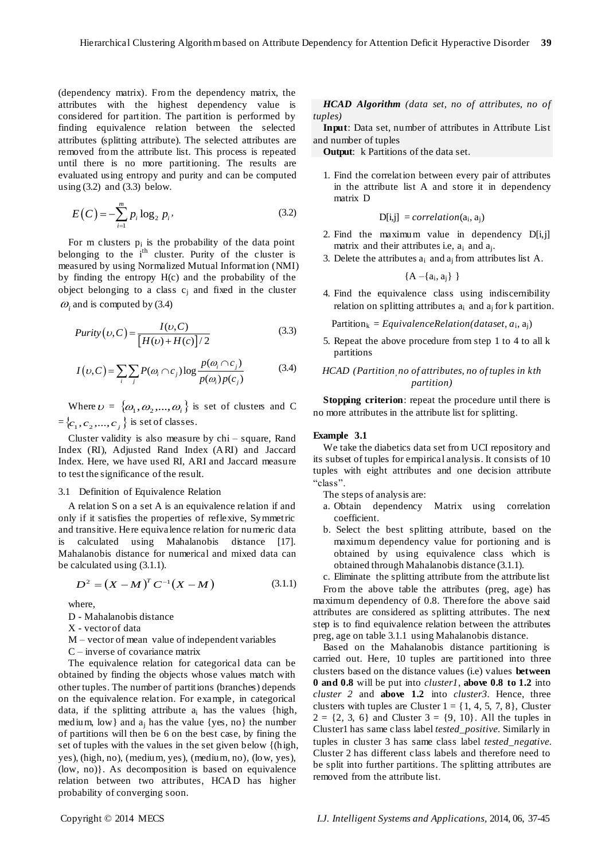(dependency matrix). From the dependency matrix, the attributes with the highest dependency value is considered for partition. The partition is performed by finding equivalence relation between the selected attributes (splitting attribute). The selected attributes are removed from the attribute list. This process is repeated until there is no more partitioning. The results are evaluated using entropy and purity and can be computed using  $(3.2)$  and  $(3.3)$  below.

$$
E(C) = -\sum_{i=1}^{m} p_i \log_2 p_i,
$$
 (3.2)

For m clusters  $p_i$  is the probability of the data point belonging to the  $i<sup>th</sup>$  cluster. Purity of the cluster is measured by using Normalized Mutual Information (NMI) by finding the entropy H(c) and the probability of the object belonging to a class  $c_i$  and fixed in the cluster  $\omega_i$  and is computed by (3.4)

$$
Purity(\upsilon, C) = \frac{I(\upsilon, C)}{[H(\upsilon) + H(\upsilon)]/2}
$$
\n(3.3)

$$
[H(U) + H(C)]/2
$$
  

$$
I(v, C) = \sum_{i} \sum_{j} P(\omega_i \cap c_j) \log \frac{p(\omega_i \cap c_j)}{p(\omega_i)p(c_j)}
$$
(3.4)

Where  $\nu = {\omega_1, \omega_2, ..., \omega_i}$  is set of clusters and C  $=\{c_1, c_2, ..., c_j\}$  is set of classes.

Cluster validity is also measure by chi – square, Rand Index (RI), Adjusted Rand Index (ARI) and Jaccard Index. Here, we have used RI, ARI and Jaccard measure to test the significance of the result.

#### 3.1 Definition of Equivalence Relation

A relation S on a set A is an equivalence relation if and only if it satisfies the properties of reflexive, Symmetric and transitive. Here equivalence relation for numeric data is calculated using Mahalanobis distance [17]. Mahalanobis distance for numerical and mixed data can be calculated using (3.1.1).

$$
D^2 = (X - M)^T C^{-1} (X - M)
$$
 (3.1.1)

where,

- D Mahalanobis distance
- X vector of data
- M vector of mean value of independent variables
- C inverse of covariance matrix

The equivalence relation for categorical data can be obtained by finding the objects whose values match with other tuples. The number of partitions (branches) depends on the equivalence relation. For example, in categorical data, if the splitting attribute  $a_i$  has the values {high, medium, low} and  $a_i$  has the value {yes, no} the number of partitions will then be 6 on the best case, by fining the set of tuples with the values in the set given below {(high, yes), (high, no), (medium, yes), (medium, no), (low, yes), (low, no)}. As decomposition is based on equivalence relation between two attributes, HCAD has higher probability of converging soon.

## *HCAD Algorithm (data set, no of attributes, no of tuples)*

**Input**: Data set, number of attributes in Attribute List and number of tuples

**Output:** k Partitions of the data set.

1. Find the correlation between every pair of attributes in the attribute list A and store it in dependency matrix D

$$
D[i,j] = correlation(a_i, a_j)
$$

- 2. Find the maximum value in dependency  $D[i,j]$ matrix and their attributes i.e,  $a_i$  and  $a_j$ .
- 3. Delete the attributes  $a_i$  and  $a_j$  from attributes list A.

$$
\{A - \{a_i, a_j\} \ \}
$$

4. Find the equivalence class using indiscernibility relation on splitting attributes  $a_i$  and  $a_j$  for k partition.

 $Partition_k = EquivalenceRelation(dataset, a_i, a_j)$ 

5. Repeat the above procedure from step 1 to 4 to all k partitions

## *HCAD (Partition, no of attributes, no of tuples in kth partition)*

**Stopping criterion**: repeat the procedure until there is no more attributes in the attribute list for splitting.

## **Example 3.1**

We take the diabetics data set from UCI repository and its subset of tuples for empirical analysis. It consists of 10 tuples with eight attributes and one decision attribute ―class‖.

The steps of analysis are:

- a. Obtain dependency Matrix using correlation coefficient.
- b. Select the best splitting attribute, based on the maximum dependency value for portioning and is obtained by using equivalence class which is obtained through Mahalanobis distance (3.1.1).
- c. Eliminate the splitting attribute from the attribute list

From the above table the attributes (preg, age) has maximum dependency of 0.8. Therefore the above said attributes are considered as splitting attributes. The next step is to find equivalence relation between the attributes preg, age on table 3.1.1 using Mahalanobis distance.

Based on the Mahalanobis distance partitioning is carried out. Here, 10 tuples are partitioned into three clusters based on the distance values (i.e) values **between 0 and 0.8** will be put into *cluster1*, **above 0.8 to 1.2** into *cluster 2* and **above 1.2** into *cluster3.* Hence, three clusters with tuples are Cluster  $1 = \{1, 4, 5, 7, 8\}$ , Cluster  $2 = \{2, 3, 6\}$  and Cluster  $3 = \{9, 10\}$ . All the tuples in Cluster1 has same class label *tested\_positive.* Similarly in tuples in cluster 3 has same class label *tested\_negative.*  Cluster 2 has different class labels and therefore need to be split into further partitions. The splitting attributes are removed from the attribute list.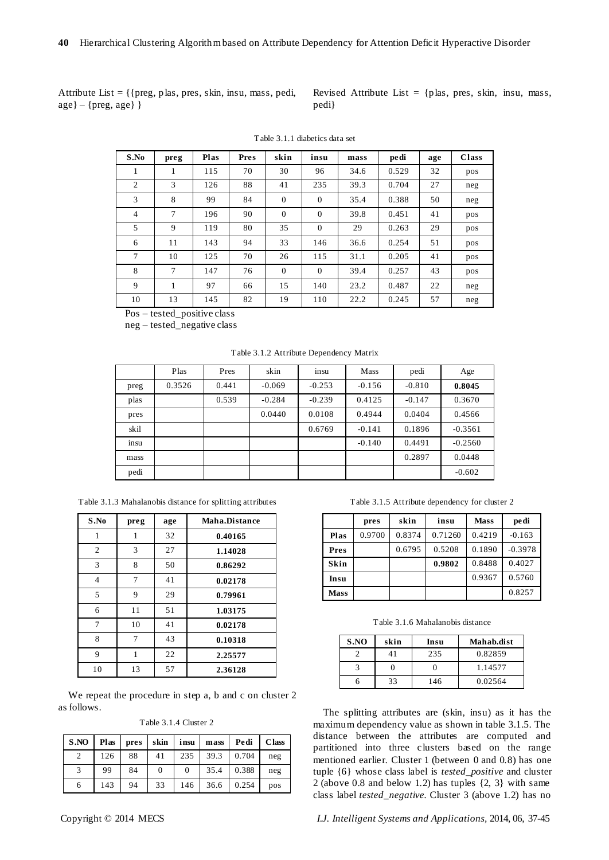Attribute List = {{preg, plas, pres, skin, insu, mass, pedi,  $\{ \text{age} \} - \{ \text{prog}, \text{age} \}$ 

Revised Attribute List  $=$  {plas, pres, skin, insu, mass, pedi}

| S.No           | preg | <b>Plas</b> | Pres | skin         | insu           | mass | pedi  | age | <b>Class</b> |
|----------------|------|-------------|------|--------------|----------------|------|-------|-----|--------------|
| 1              | 1    | 115         | 70   | 30           | 96             | 34.6 | 0.529 | 32  | pos          |
| $\overline{c}$ | 3    | 126         | 88   | 41           | 235            | 39.3 | 0.704 | 27  | neg          |
| 3              | 8    | 99          | 84   | $\mathbf{0}$ | $\Omega$       | 35.4 | 0.388 | 50  | neg          |
| $\overline{4}$ | 7    | 196         | 90   | $\mathbf{0}$ | $\overline{0}$ | 39.8 | 0.451 | 41  | pos          |
| 5              | 9    | 119         | 80   | 35           | $\Omega$       | 29   | 0.263 | 29  | pos          |
| 6              | 11   | 143         | 94   | 33           | 146            | 36.6 | 0.254 | 51  | pos          |
| 7              | 10   | 125         | 70   | 26           | 115            | 31.1 | 0.205 | 41  | pos          |
| 8              | 7    | 147         | 76   | $\mathbf{0}$ | $\Omega$       | 39.4 | 0.257 | 43  | pos          |
| 9              | 1    | 97          | 66   | 15           | 140            | 23.2 | 0.487 | 22  | neg          |
| 10             | 13   | 145         | 82   | 19           | 110            | 22.2 | 0.245 | 57  | neg          |

Table 3.1.1 diabetics data set

Pos – tested\_positive class

neg – tested\_negative class

| Table 3.1.2 Attribute Dependency Matrix |  |  |
|-----------------------------------------|--|--|
|-----------------------------------------|--|--|

|      | Plas   | Pres  | skin     | $\mathbf{r}$<br>insu | <b>Mass</b> | pedi     | Age       |
|------|--------|-------|----------|----------------------|-------------|----------|-----------|
| preg | 0.3526 | 0.441 | $-0.069$ | $-0.253$             | $-0.156$    | $-0.810$ | 0.8045    |
| plas |        | 0.539 | $-0.284$ | $-0.239$             | 0.4125      | $-0.147$ | 0.3670    |
| pres |        |       | 0.0440   | 0.0108               | 0.4944      | 0.0404   | 0.4566    |
| skil |        |       |          | 0.6769               | $-0.141$    | 0.1896   | $-0.3561$ |
| insu |        |       |          |                      | $-0.140$    | 0.4491   | $-0.2560$ |
| mass |        |       |          |                      |             | 0.2897   | 0.0448    |
| pedi |        |       |          |                      |             |          | $-0.602$  |

Table 3.1.3 Mahalanobis distance for splitting attributes

| S.No | preg | age | Maha.Distance |
|------|------|-----|---------------|
|      | 1    | 32  | 0.40165       |
| 2    | 3    | 27  | 1.14028       |
| 3    | 8    | 50  | 0.86292       |
| 4    | 7    | 41  | 0.02178       |
| 5    | 9    | 29  | 0.79961       |
| 6    | 11   | 51  | 1.03175       |
| 7    | 10   | 41  | 0.02178       |
| 8    | 7    | 43  | 0.10318       |
| 9    | 1    | 22  | 2.25577       |
| 10   | 13   | 57  | 2.36128       |

We repeat the procedure in step a, b and c on cluster 2 as follows.

Table 3.1.4 Cluster 2

| S.NO | Plas | pres | skin | insu | mass | Pedi  | <b>Class</b> |
|------|------|------|------|------|------|-------|--------------|
|      | 126  | 88   | 41   | 235  | 39.3 | 0.704 | neg          |
|      | 99   | 84   | 0    | 0    | 35.4 | 0.388 | neg          |
| 6    | 143  | 94   | 33   | 146  | 36.6 | 0.254 | pos          |

Table 3.1.5 Attribute dependency for cluster 2

|             | pres   | skin   | insu    | <b>Mass</b> | pedi      |
|-------------|--------|--------|---------|-------------|-----------|
| Plas        | 0.9700 | 0.8374 | 0.71260 | 0.4219      | $-0.163$  |
| Pres        |        | 0.6795 | 0.5208  | 0.1890      | $-0.3978$ |
| <b>Skin</b> |        |        | 0.9802  | 0.8488      | 0.4027    |
| Insu        |        |        |         | 0.9367      | 0.5760    |
| <b>Mass</b> |        |        |         |             | 0.8257    |

Table 3.1.6 Mahalanobis distance

| S.NO | skin | Insu | Mahab.dist |
|------|------|------|------------|
|      |      | 235  | 0.82859    |
|      |      |      | 1.14577    |
|      | 33   | 146  | 0.02564    |

The splitting attributes are (skin, insu) as it has the maximum dependency value as shown in table 3.1.5. The distance between the attributes are computed and partitioned into three clusters based on the range mentioned earlier. Cluster 1 (between 0 and 0.8) has one tuple {6} whose class label is *tested\_positive* and cluster 2 (above 0.8 and below 1.2) has tuples {2, 3} with same class label *tested\_negative.* Cluster 3 (above 1.2) has no

Copyright © 2014 MECS *I.J. Intelligent Systems and Applications,* 2014, 06, 37-45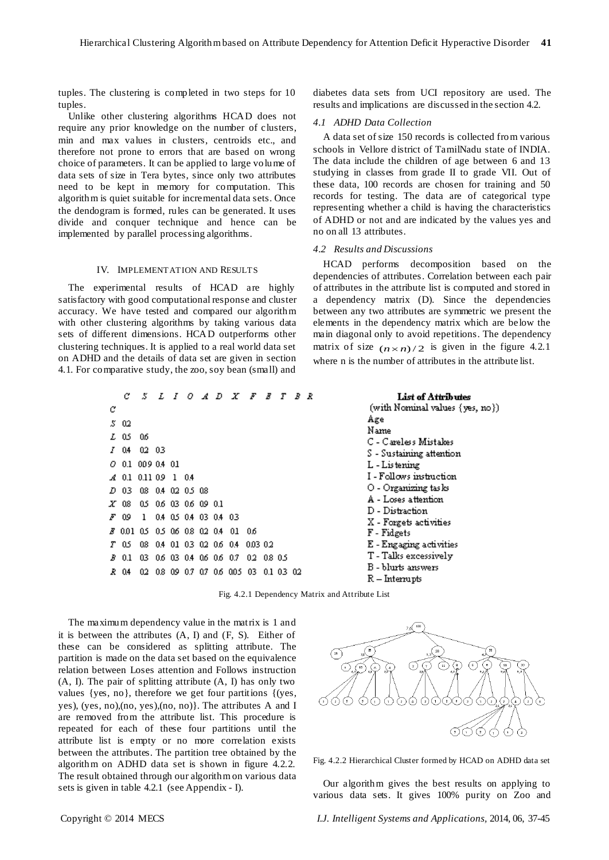tuples. The clustering is completed in two steps for 10 tuples.

Unlike other clustering algorithms HCAD does not require any prior knowledge on the number of clusters, min and max values in clusters, centroids etc., and therefore not prone to errors that are based on wrong choice of parameters. It can be applied to large volume of data sets of size in Tera bytes, since only two attributes need to be kept in memory for computation. This algorithm is quiet suitable for incremental data sets. Once the dendogram is formed, rules can be generated. It uses divide and conquer technique and hence can be implemented by parallel processing algorithms.

## IV. IMPLEMENTATION AND RESULTS

The experimental results of HCAD are highly satisfactory with good computational response and cluster accuracy. We have tested and compared our algorithm with other clustering algorithms by taking various data sets of different dimensions. HCAD outperforms other clustering techniques. It is applied to a real world data set on ADHD and the details of data set are given in section 4.1. For comparative study, the zoo, soy bean (small) and

diabetes data sets from UCI repository are used. The results and implications are discussed in the section 4.2.

#### *4.1 ADHD Data Collection*

A data set of size 150 records is collected from various schools in Vellore district of TamilNadu state of INDIA. The data include the children of age between 6 and 13 studying in classes from grade II to grade VII. Out of these data, 100 records are chosen for training and 50 records for testing. The data are of categorical type representing whether a child is having the characteristics of ADHD or not and are indicated by the values yes and no on all 13 attributes.

#### *4.2 Results and Discussions*

Age Name

HCAD performs decomposition based on the dependencies of attributes. Correlation between each pair of attributes in the attribute list is computed and stored in a dependency matrix (D). Since the dependencies between any two attributes are symmetric we present the elements in the dependency matrix which are below the main diagonal only to avoid repetitions. The dependency matrix of size  $(n \times n)/2$  is given in the figure 4.2.1 where n is the number of attributes in the attribute list.

> List of Attributes (with Nominal values (yes, no))

C - Careless Mistakes S - Sustaining attention

I-Follows instruction O - Organizing tas ks A - Loses attention D - Distraction X - Forgets activities

E - Engaging activities T - Talks excessively B - blurts answers R - Interrupts

L - Listening

F - Fidgets

|   | с           |                                               |  |       |                        | S L I O A D X F                   |          | B |           | T B R |  |
|---|-------------|-----------------------------------------------|--|-------|------------------------|-----------------------------------|----------|---|-----------|-------|--|
| С |             |                                               |  |       |                        |                                   |          |   |           |       |  |
|   | 5 O.Z       |                                               |  |       |                        |                                   |          |   |           |       |  |
|   | L 0.5 0.6   |                                               |  |       |                        |                                   |          |   |           |       |  |
|   | <i>I</i> 04 | 02 03                                         |  |       |                        |                                   |          |   |           |       |  |
|   | O 0.1       | 009 04 01                                     |  |       |                        |                                   |          |   |           |       |  |
|   | A 0.1       | 0.11 0.9                                      |  | 1 0.4 |                        |                                   |          |   |           |       |  |
|   |             | <i>D</i> 03 08 0.4 02 0 <i>5</i> 08           |  |       |                        |                                   |          |   |           |       |  |
|   |             | 27 08 0.5 0.6 0.3 0.6 0.9 0.1                 |  |       |                        |                                   |          |   |           |       |  |
|   | F 09        | $\mathbf{1}$                                  |  |       | 0.4 0.5 0.4 03 0.4 0.3 |                                   |          |   |           |       |  |
|   |             | # 0.01 0.5 0.5 0.6 0.8 0.2 0.4                |  |       |                        | - 01                              | -06      |   |           |       |  |
|   |             | 7 0.5 0.8 0.4 01 0.3 0.2 0.6 0.4              |  |       |                        |                                   | 003 02   |   |           |       |  |
|   |             | <i>B</i> 0.1 03 0 <i>6</i> 03 0.4 0.6 0.6 0.7 |  |       |                        |                                   | 02 08 05 |   |           |       |  |
|   |             |                                               |  |       |                        | 2014 02 08 09 0.7 0.7 0.6 0.05 03 |          |   | 0.1 03 02 |       |  |

Fig. 4.2.1 Dependency Matrix and Attribute List

The maximum dependency value in the matrix is 1 and it is between the attributes  $(A, I)$  and  $(F, S)$ . Either of these can be considered as splitting attribute. The partition is made on the data set based on the equivalence relation between Loses attention and Follows instruction (A, I). The pair of splitting attribute (A, I) has only two values {yes, no}, therefore we get four partitions {(yes, yes), (yes, no),(no, yes),(no, no)}. The attributes A and I are removed from the attribute list. This procedure is repeated for each of these four partitions until the attribute list is empty or no more correlation exists between the attributes. The partition tree obtained by the algorithm on ADHD data set is shown in figure 4.2.2. The result obtained through our algorithm on various data sets is given in table 4.2.1 (see Appendix - I).



Fig. 4.2.2 Hierarchical Cluster formed by HCAD on ADHD data set

Our algorithm gives the best results on applying to various data sets. It gives 100% purity on Zoo and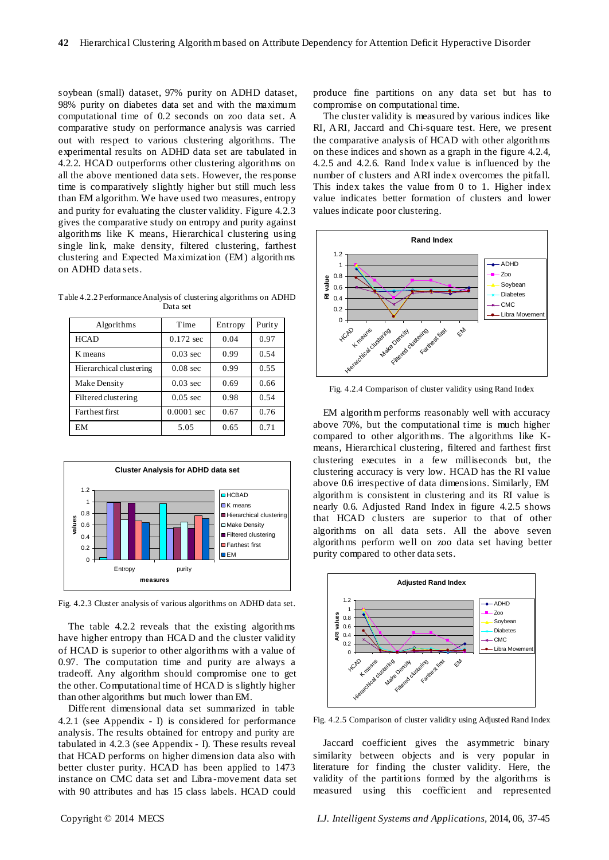soybean (small) dataset, 97% purity on ADHD dataset, 98% purity on diabetes data set and with the maximum computational time of 0.2 seconds on zoo data set. A comparative study on performance analysis was carried out with respect to various clustering algorithms. The experimental results on ADHD data set are tabulated in 4.2.2. HCAD outperforms other clustering algorithms on all the above mentioned data sets. However, the response time is comparatively slightly higher but still much less than EM algorithm. We have used two measures, entropy and purity for evaluating the cluster validity. Figure 4.2.3 gives the comparative study on entropy and purity against algorithms like K means, Hierarchical clustering using single link, make density, filtered clustering, farthest clustering and Expected Maximization (EM) algorithms on ADHD data sets.

Table 4.2.2 Performance Analysis of clustering algorithms on ADHD Data set

| Algorithms              | Time                 | Entropy | Purity |
|-------------------------|----------------------|---------|--------|
| <b>HCAD</b>             | $0.172$ sec          | 0.04    | 0.97   |
| K means                 | $0.03 \text{ sec}$   | 0.99    | 0.54   |
| Hierarchical clustering | $0.08$ sec           | 0.99    | 0.55   |
| Make Density            | $0.03 \text{ sec}$   | 0.69    | 0.66   |
| Filtered clustering     | $0.05$ sec           | 0.98    | 0.54   |
| <b>Farthest first</b>   | $0.0001 \text{ sec}$ | 0.67    | 0.76   |
| EM                      | 5.05                 | 0.65    | 0.71   |



Fig. 4.2.3 Cluster analysis of various algorithms on ADHD data set.

The table 4.2.2 reveals that the existing algorithms have higher entropy than HCAD and the cluster validity of HCAD is superior to other algorithms with a value of 0.97. The computation time and purity are always a tradeoff. Any algorithm should compromise one to get the other. Computational time of HCAD is slightly higher than other algorithms but much lower than EM.

Different dimensional data set summarized in table 4.2.1 (see Appendix - I) is considered for performance analysis. The results obtained for entropy and purity are tabulated in 4.2.3 (see Appendix - I). These results reveal that HCAD performs on higher dimension data also with better cluster purity. HCAD has been applied to 1473 instance on CMC data set and Libra -movement data set with 90 attributes and has 15 class labels. HCAD could

produce fine partitions on any data set but has to compromise on computational time.

The cluster validity is measured by various indices like RI, ARI, Jaccard and Chi-square test. Here, we present the comparative analysis of HCAD with other algorithms on these indices and shown as a graph in the figure 4.2.4, 4.2.5 and 4.2.6. Rand Index value is influenced by the number of clusters and ARI index overcomes the pitfall. This index takes the value from 0 to 1. Higher index value indicates better formation of clusters and lower values indicate poor clustering.



Fig. 4.2.4 Comparison of cluster validity using Rand Index

EM algorithm performs reasonably well with accuracy above 70%, but the computational time is much higher compared to other algorithms. The algorithms like Kmeans, Hierarchical clustering, filtered and farthest first clustering executes in a few milliseconds but, the clustering accuracy is very low. HCAD has the RI value above 0.6 irrespective of data dimensions. Similarly, EM algorithm is consistent in clustering and its RI value is nearly 0.6. Adjusted Rand Index in figure 4.2.5 shows that HCAD clusters are superior to that of other algorithms on all data sets. All the above seven algorithms perform well on zoo data set having better purity compared to other data sets.



Fig. 4.2.5 Comparison of cluster validity using Adjusted Rand Index

Jaccard coefficient gives the asymmetric binary similarity between objects and is very popular in literature for finding the cluster validity. Here, the validity of the partitions formed by the algorithms is measured using this coefficient and represented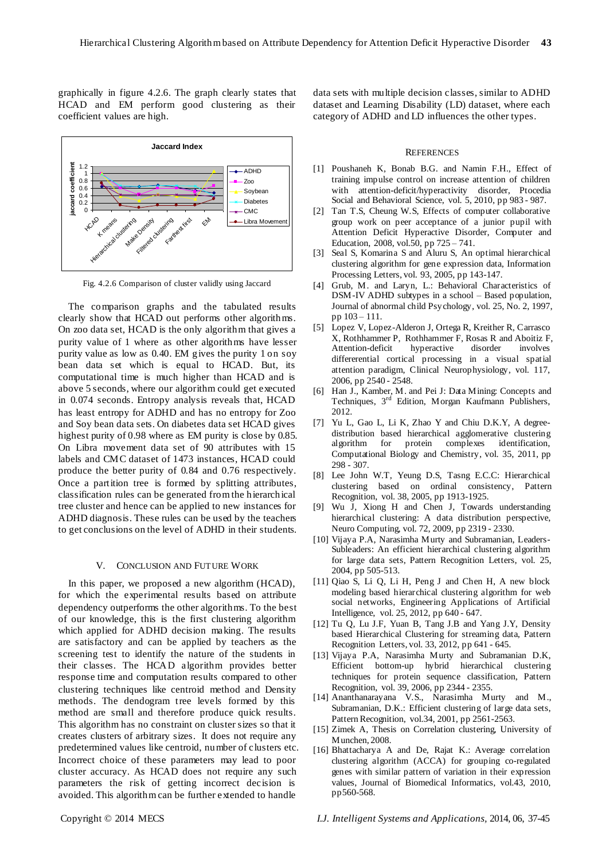graphically in figure 4.2.6. The graph clearly states that HCAD and EM perform good clustering as their coefficient values are high.



Fig. 4.2.6 Comparison of cluster validly using Jaccard

The comparison graphs and the tabulated results clearly show that HCAD out performs other algorithms. On zoo data set, HCAD is the only algorithm that gives a purity value of 1 where as other algorithms have lesser purity value as low as 0.40. EM gives the purity 1 on soy bean data set which is equal to HCAD. But, its computational time is much higher than HCAD and is above 5 seconds, where our algorithm could get executed in 0.074 seconds. Entropy analysis reveals that, HCAD has least entropy for ADHD and has no entropy for Zoo and Soy bean data sets. On diabetes data set HCAD gives highest purity of 0.98 where as EM purity is close by 0.85. On Libra movement data set of 90 attributes with 15 labels and CMC dataset of 1473 instances, HCAD could produce the better purity of 0.84 and 0.76 respectively. Once a partition tree is formed by splitting attributes, classification rules can be generated from the hierarchical tree cluster and hence can be applied to new instances for ADHD diagnosis. These rules can be used by the teachers to get conclusions on the level of ADHD in their students.

### V. CONCLUSION AND FUTURE WORK

In this paper, we proposed a new algorithm (HCAD), for which the experimental results based on attribute dependency outperforms the other algorithms. To the best of our knowledge, this is the first clustering algorithm which applied for ADHD decision making. The results are satisfactory and can be applied by teachers as the screening test to identify the nature of the students in their classes. The HCAD algorithm provides better response time and computation results compared to other clustering techniques like centroid method and Density methods. The dendogram tree levels formed by this method are small and therefore produce quick results. This algorithm has no constraint on cluster sizes so that it creates clusters of arbitrary sizes. It does not require any predetermined values like centroid, number of clusters etc. Incorrect choice of these parameters may lead to poor cluster accuracy. As HCAD does not require any such parameters the risk of getting incorrect decision is avoided. This algorithm can be further extended to handle

data sets with multiple decision classes, similar to ADHD dataset and Learning Disability (LD) dataset, where each category of ADHD and LD influences the other types.

#### **REFERENCES**

- [1] Poushaneh K, Bonab B.G. and Namin F.H., Effect of training impulse control on increase attention of children with attention-deficit/hyperactivity disorder, Ptocedia Social and Behavioral Science, vol. 5, 2010, pp 983 - 987.
- [2] Tan T.S, Cheung W.S, Effects of computer collaborative group work on peer acceptance of a junior pupil with Attention Deficit Hyperactive Disorder, Computer and Education, 2008, vol.50, pp 725 – 741.
- [3] Seal S, Komarina S and Aluru S, An optimal hierarchical clustering algorithm for gene expression data, Information Processing Letters, vol. 93, 2005, pp 143-147.
- [4] Grub, M. and Laryn, L.: Behavioral Characteristics of DSM-IV ADHD subtypes in a school – Based population, Journal of abnormal child Psychology, vol. 25, No. 2, 1997, pp 103 – 111.
- [5] Lopez V, Lopez-Alderon J, Ortega R, Kreither R, Carrasco X, Rothhammer P, Rothhammer F, Rosas R and Aboitiz F,<br>Attention-deficit hyperactive disorder involves Attention-deficit hyperactive disorder involves differerential cortical processing in a visual spatial attention paradigm, Clinical Neurophysiology, vol. 117, 2006, pp 2540 - 2548.
- [6] Han J., Kamber, M. and Pei J: Data Mining: Concepts and Techniques, 3<sup>rd</sup> Edition, Morgan Kaufmann Publishers, 2012.
- [7] Yu L, Gao L, Li K, Zhao Y and Chiu D.K.Y, A degreedistribution based hierarchical agglomerative clustering algorithm for protein complexes identification, Computational Biology and Chemistry, vol. 35, 2011, pp 298 - 307.
- [8] Lee John W.T, Yeung D.S, Tasng E.C.C: Hierarchical clustering based on ordinal consistency, Pattern Recognition, vol. 38, 2005, pp 1913-1925.
- [9] Wu J, Xiong H and Chen J, Towards understanding hierarchical clustering: A data distribution perspective, Neuro Computing, vol. 72, 2009, pp 2319 - 2330.
- [10] Vijaya P.A, Narasimha Murty and Subramanian, Leaders-Subleaders: An efficient hierarchical clustering algorithm for large data sets, Pattern Recognition Letters, vol. 25, 2004, pp 505-513.
- [11] Qiao S, Li Q, Li H, Peng J and Chen H, A new block modeling based hierarchical clustering algorithm for web social networks, Engineering Applications of Artificial Intelligence, vol. 25, 2012, pp 640 - 647.
- [12] Tu Q, Lu J.F, Yuan B, Tang J.B and Yang J.Y, Density based Hierarchical Clustering for streaming data, Pattern Recognition Letters, vol. 33, 2012, pp 641 - 645.
- [13] Vijaya P.A, Narasimha Murty and Subramanian D.K, Efficient bottom-up hybrid hierarchical clustering techniques for protein sequence classification, Pattern Recognition, vol. 39, 2006, pp 2344 - 2355.
- [14] Ananthanarayana V.S., Narasimha Murty and M., Subramanian, D.K.: Efficient clustering of large data sets, Pattern Recognition, vol.34, 2001, pp 2561-2563.
- [15] Zimek A, Thesis on Correlation clustering, University of Munchen, 2008.
- [16] Bhattacharya A and De, Rajat K.: Average correlation clustering algorithm (ACCA) for grouping co-regulated genes with similar pattern of variation in their expression values, Journal of Biomedical Informatics, vol.43, 2010, pp560-568.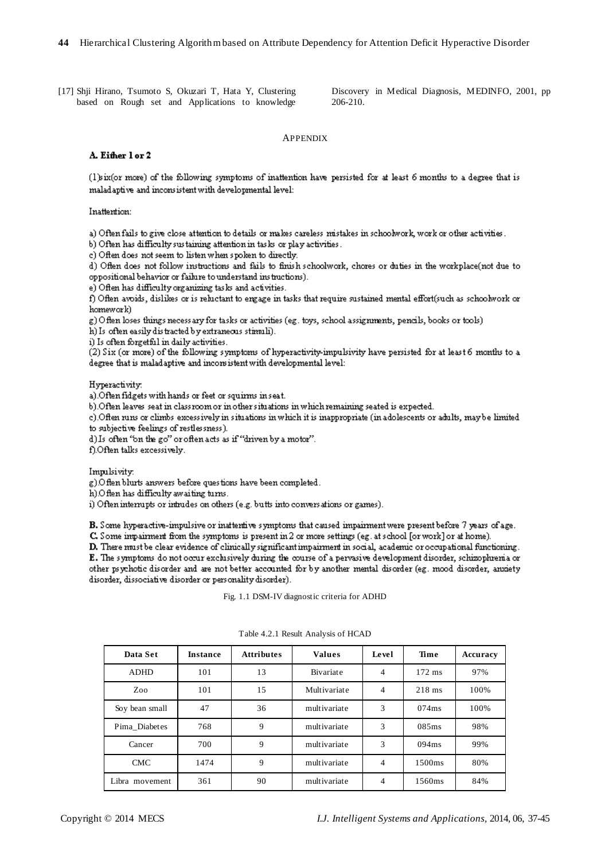[17] Shji Hirano, Tsumoto S, Okuzari T, Hata Y, Clustering based on Rough set and Applications to knowledge Discovery in Medical Diagnosis, MEDINFO, 2001, pp 206-210.

# APPENDIX

### A. Either lor 2

(1) six(or more) of the following symptoms of inattention have persisted for at least 6 months to a degree that is maladaptive and inconsistent with developmental level:

Inattention:

a) Often fails to give close attention to details or makes careless mistakes in schoolwork, work or other activities.

b) Often has difficulty sustaining attention in tasks or play activities.

c) Often does not seem to listen when spoken to directly.

d) Often does not follow instructions and fails to finish schoolwork, chores or duties in the workplace(not due to oppositional behavior or failure to understand instructions).

e) Often has difficulty organizing tasks and activities.

f) Often avoids, dislikes or is reluctant to ergage in tasks that require sustained mental effort(such as schoolwork or homework)

g) Often loses things necess ary for tasks or activities (eg. toys, school assignments, pencils, books or tools)

h) Is often easily distracted by extraneous stimuli). i) Is often forgetful in daily activities.

(2) Six (or more) of the following symptoms of hyperactivity-impulsivity have persisted for at least 6 months to a degree that is maladaptive and inconsistent with developmental level:

Hyperactivity.

a). Often fidgets with hands or feet or squirms in seat.

b). Often leaves seat in classroom or in other situations in which remaining seated is expected.

c). Often runs or climbs excessively in situations in which it is inappropriate (in adolescents or adults, maybe limited to subjective feelings of restlessness).

d) Is often "on the go" or often acts as if "driven by a motor".

f).Often talks excessively.

Impulsivity

g). Often blurts answers before questions have been completed.

h).Often has difficulty awaiting turns.

i) Often interrupts or intrudes on others (e.g. butts into conversations or games).

B. Some hyperactive-impulsive or inattentive symptoms that caused impairment were present before 7 years of age.

C. Some impairment from the symptoms is present in 2 or more settings (eg. at school [or work] or at home).

D. There must be clear evidence of clinically significant impairment in social, academic or occupational functioning. E. The symptoms do not occur exclusively during the course of a pervasive development disorder, schizophrenia or other psychotic disorder and are not better accounted for by another mental disorder (eg. mood disorder, anxiety disorder, dissociative disorder or personality disorder).

Fig. 1.1 DSM-IV diagnostic criteria for ADHD

| Data Set       | <b>Instance</b> | <b>Attributes</b> | <b>Values</b> | Level          | Time               | Accuracy |
|----------------|-----------------|-------------------|---------------|----------------|--------------------|----------|
| <b>ADHD</b>    | 101             | 13                | Bivariate     | 4              | $172$ ms           | 97%      |
| Zoo            | 101             | 15                | Multivariate  | 4              | $218$ ms           | 100%     |
| Soy bean small | 47              | 36                | multivariate  | 3              | 074ms              | 100%     |
| Pima Diabetes  | 768             | 9                 | multivariate  | 3              | 085ms              | 98%      |
| Cancer         | 700             | 9                 | multivariate  | 3              | 094ms              | 99%      |
| <b>CMC</b>     | 1474            | 9                 | multivariate  | $\overline{4}$ | 1500 <sub>ms</sub> | 80%      |
| Libra movement | 361             | 90                | multivariate  | 4              | 1560ms             | 84%      |

Table 4.2.1 Result Analysis of HCAD